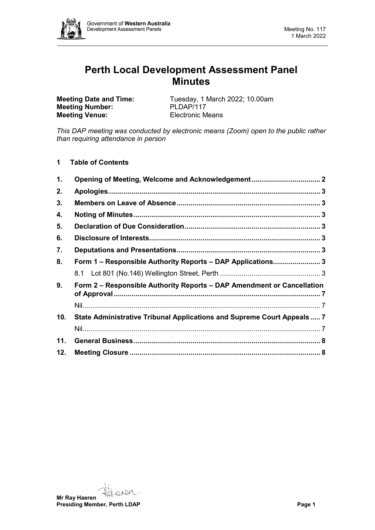

# **Perth Local Development Assessment Panel Minutes**

**Meeting Number: Meeting Venue:** Electronic Means

**Meeting Date and Time:** Tuesday, 1 March 2022; 10.00am<br> **Meeting Number:** PLDAP/117

*This DAP meeting was conducted by electronic means (Zoom) open to the public rather than requiring attendance in person*

**1 Table of Contents**

| 1.  |                                                                         |  |
|-----|-------------------------------------------------------------------------|--|
| 2.  |                                                                         |  |
| 3.  |                                                                         |  |
| 4.  |                                                                         |  |
| 5.  |                                                                         |  |
| 6.  |                                                                         |  |
| 7.  |                                                                         |  |
| 8.  | Form 1 - Responsible Authority Reports - DAP Applications 3             |  |
|     |                                                                         |  |
| 9.  | Form 2 – Responsible Authority Reports – DAP Amendment or Cancellation  |  |
|     |                                                                         |  |
| 10. | State Administrative Tribunal Applications and Supreme Court Appeals  7 |  |
|     |                                                                         |  |
| 11. |                                                                         |  |
| 12. |                                                                         |  |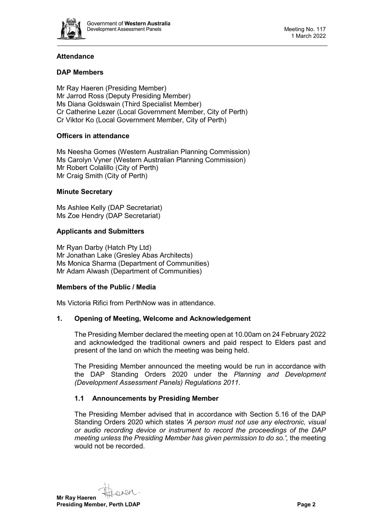

# **Attendance**

# **DAP Members**

Mr Ray Haeren (Presiding Member) Mr Jarrod Ross (Deputy Presiding Member) Ms Diana Goldswain (Third Specialist Member) Cr Catherine Lezer (Local Government Member, City of Perth) Cr Viktor Ko (Local Government Member, City of Perth)

## **Officers in attendance**

Ms Neesha Gomes (Western Australian Planning Commission) Ms Carolyn Vyner (Western Australian Planning Commission) Mr Robert Colalillo (City of Perth) Mr Craig Smith (City of Perth)

## **Minute Secretary**

Ms Ashlee Kelly (DAP Secretariat) Ms Zoe Hendry (DAP Secretariat)

## **Applicants and Submitters**

Mr Ryan Darby (Hatch Pty Ltd) Mr Jonathan Lake (Gresley Abas Architects) Ms Monica Sharma (Department of Communities) Mr Adam Alwash (Department of Communities)

## **Members of the Public / Media**

<span id="page-1-0"></span>Ms Victoria Rifici from PerthNow was in attendance.

## **1. Opening of Meeting, Welcome and Acknowledgement**

The Presiding Member declared the meeting open at 10.00am on 24 February 2022 and acknowledged the traditional owners and paid respect to Elders past and present of the land on which the meeting was being held.

The Presiding Member announced the meeting would be run in accordance with the DAP Standing Orders 2020 under the *Planning and Development (Development Assessment Panels) Regulations 2011.*

# **1.1 Announcements by Presiding Member**

The Presiding Member advised that in accordance with Section 5.16 of the DAP Standing Orders 2020 which states *'A person must not use any electronic, visual or audio recording device or instrument to record the proceedings of the DAP meeting unless the Presiding Member has given permission to do so.',* the meeting would not be recorded.

oven **Mr Ray Haeren Presiding Member, Perth LDAP Page 2 Page 2**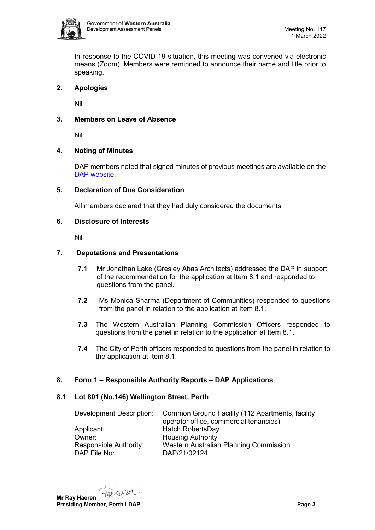

In response to the COVID-19 situation, this meeting was convened via electronic means (Zoom). Members were reminded to announce their name and title prior to speaking.

# <span id="page-2-0"></span>**2. Apologies**

Nil

# <span id="page-2-1"></span>**3. Members on Leave of Absence**

Nil

# <span id="page-2-2"></span>**4. Noting of Minutes**

DAP members noted that signed minutes of previous meetings are available on the [DAP website.](https://www.dplh.wa.gov.au/about/development-assessment-panels/daps-agendas-and-minutes)

## <span id="page-2-3"></span>**5. Declaration of Due Consideration**

All members declared that they had duly considered the documents.

## <span id="page-2-4"></span>**6. Disclosure of Interests**

<span id="page-2-5"></span>Nil

## **7. Deputations and Presentations**

- **7.1** Mr Jonathan Lake (Gresley Abas Architects) addressed the DAP in support of the recommendation for the application at Item 8.1 and responded to questions from the panel.
- **7.2** Ms Monica Sharma (Department of Communities) responded to questions from the panel in relation to the application at Item 8.1.
- **7.3** The Western Australian Planning Commission Officers responded to questions from the panel in relation to the application at Item 8.1.
- **7.4** The City of Perth officers responded to questions from the panel in relation to the application at Item 8.1.

## <span id="page-2-6"></span>**8. Form 1 – Responsible Authority Reports – DAP Applications**

## <span id="page-2-7"></span>**8.1 Lot 801 (No.146) Wellington Street, Perth**

| Development Description: | Common Ground Facility (112 Apartments, facility |
|--------------------------|--------------------------------------------------|
|                          | operator office, commercial tenancies)           |
| Applicant:               | Hatch RobertsDay                                 |
| Owner:                   | <b>Housing Authority</b>                         |
| Responsible Authority:   | Western Australian Planning Commission           |
| DAP File No:             | DAP/21/02124                                     |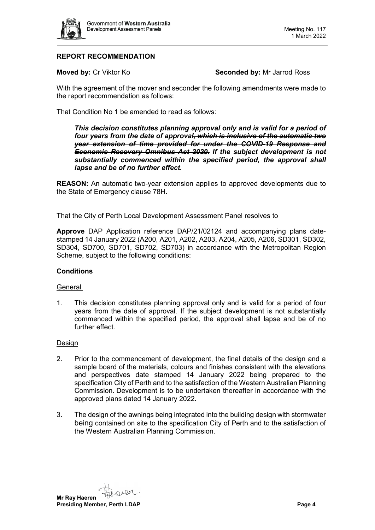

# **REPORT RECOMMENDATION**

**Moved by: Cr Viktor Ko <b>Seconded by:** Mr Jarrod Ross

With the agreement of the mover and seconder the following amendments were made to the report recommendation as follows:

That Condition No 1 be amended to read as follows:

*This decision constitutes planning approval only and is valid for a period of four years from the date of approval, which is inclusive of the automatic two year extension of time provided for under the COVID-19 Response and Economic Recovery Omnibus Act 2020. If the subject development is not substantially commenced within the specified period, the approval shall lapse and be of no further effect.*

**REASON:** An automatic two-year extension applies to approved developments due to the State of Emergency clause 78H.

That the City of Perth Local Development Assessment Panel resolves to

**Approve** DAP Application reference DAP/21/02124 and accompanying plans datestamped 14 January 2022 (A200, A201, A202, A203, A204, A205, A206, SD301, SD302, SD304, SD700, SD701, SD702, SD703) in accordance with the Metropolitan Region Scheme, subject to the following conditions:

#### **Conditions**

#### General

1. This decision constitutes planning approval only and is valid for a period of four years from the date of approval. If the subject development is not substantially commenced within the specified period, the approval shall lapse and be of no further effect.

#### Design

- 2. Prior to the commencement of development, the final details of the design and a sample board of the materials, colours and finishes consistent with the elevations and perspectives date stamped 14 January 2022 being prepared to the specification City of Perth and to the satisfaction of the Western Australian Planning Commission. Development is to be undertaken thereafter in accordance with the approved plans dated 14 January 2022.
- 3. The design of the awnings being integrated into the building design with stormwater being contained on site to the specification City of Perth and to the satisfaction of the Western Australian Planning Commission.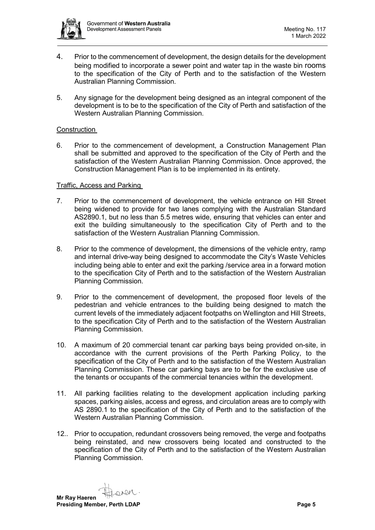

- 4. Prior to the commencement of development, the design details for the development being modified to incorporate a sewer point and water tap in the waste bin rooms to the specification of the City of Perth and to the satisfaction of the Western Australian Planning Commission.
- 5. Any signage for the development being designed as an integral component of the development is to be to the specification of the City of Perth and satisfaction of the Western Australian Planning Commission.

#### Construction

6. Prior to the commencement of development, a Construction Management Plan shall be submitted and approved to the specification of the City of Perth and the satisfaction of the Western Australian Planning Commission. Once approved, the Construction Management Plan is to be implemented in its entirety.

#### Traffic, Access and Parking

- 7. Prior to the commencement of development, the vehicle entrance on Hill Street being widened to provide for two lanes complying with the Australian Standard AS2890.1, but no less than 5.5 metres wide, ensuring that vehicles can enter and exit the building simultaneously to the specification City of Perth and to the satisfaction of the Western Australian Planning Commission.
- 8. Prior to the commence of development, the dimensions of the vehicle entry, ramp and internal drive-way being designed to accommodate the City's Waste Vehicles including being able to enter and exit the parking /service area in a forward motion to the specification City of Perth and to the satisfaction of the Western Australian Planning Commission.
- 9. Prior to the commencement of development, the proposed floor levels of the pedestrian and vehicle entrances to the building being designed to match the current levels of the immediately adjacent footpaths on Wellington and Hill Streets, to the specification City of Perth and to the satisfaction of the Western Australian Planning Commission.
- 10. A maximum of 20 commercial tenant car parking bays being provided on-site, in accordance with the current provisions of the Perth Parking Policy, to the specification of the City of Perth and to the satisfaction of the Western Australian Planning Commission. These car parking bays are to be for the exclusive use of the tenants or occupants of the commercial tenancies within the development.
- 11. All parking facilities relating to the development application including parking spaces, parking aisles, access and egress, and circulation areas are to comply with AS 2890.1 to the specification of the City of Perth and to the satisfaction of the Western Australian Planning Commission.
- 12.. Prior to occupation, redundant crossovers being removed, the verge and footpaths being reinstated, and new crossovers being located and constructed to the specification of the City of Perth and to the satisfaction of the Western Australian Planning Commission.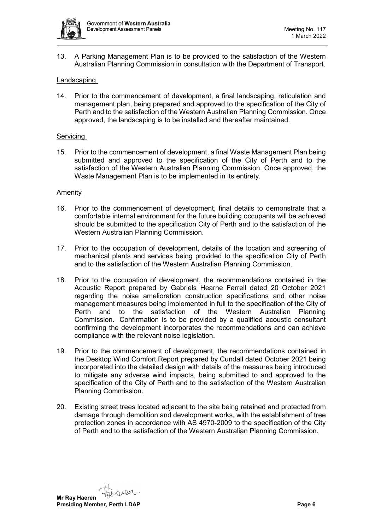

13. A Parking Management Plan is to be provided to the satisfaction of the Western Australian Planning Commission in consultation with the Department of Transport.

#### Landscaping

14. Prior to the commencement of development, a final landscaping, reticulation and management plan, being prepared and approved to the specification of the City of Perth and to the satisfaction of the Western Australian Planning Commission. Once approved, the landscaping is to be installed and thereafter maintained.

#### Servicing

15. Prior to the commencement of development, a final Waste Management Plan being submitted and approved to the specification of the City of Perth and to the satisfaction of the Western Australian Planning Commission. Once approved, the Waste Management Plan is to be implemented in its entirety.

#### Amenity

- 16. Prior to the commencement of development, final details to demonstrate that a comfortable internal environment for the future building occupants will be achieved should be submitted to the specification City of Perth and to the satisfaction of the Western Australian Planning Commission.
- 17. Prior to the occupation of development, details of the location and screening of mechanical plants and services being provided to the specification City of Perth and to the satisfaction of the Western Australian Planning Commission.
- 18. Prior to the occupation of development, the recommendations contained in the Acoustic Report prepared by Gabriels Hearne Farrell dated 20 October 2021 regarding the noise amelioration construction specifications and other noise management measures being implemented in full to the specification of the City of Perth and to the satisfaction of the Western Australian Planning Commission. Confirmation is to be provided by a qualified acoustic consultant confirming the development incorporates the recommendations and can achieve compliance with the relevant noise legislation.
- 19. Prior to the commencement of development, the recommendations contained in the Desktop Wind Comfort Report prepared by Cundall dated October 2021 being incorporated into the detailed design with details of the measures being introduced to mitigate any adverse wind impacts, being submitted to and approved to the specification of the City of Perth and to the satisfaction of the Western Australian Planning Commission.
- 20. Existing street trees located adjacent to the site being retained and protected from damage through demolition and development works, with the establishment of tree protection zones in accordance with AS 4970-2009 to the specification of the City of Perth and to the satisfaction of the Western Australian Planning Commission.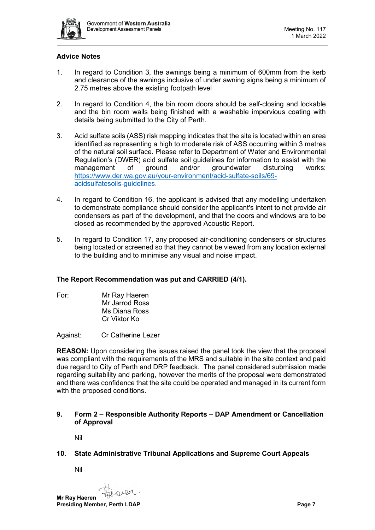

# **Advice Notes**

- 1. In regard to Condition 3, the awnings being a minimum of 600mm from the kerb and clearance of the awnings inclusive of under awning signs being a minimum of 2.75 metres above the existing footpath level
- 2. In regard to Condition 4, the bin room doors should be self-closing and lockable and the bin room walls being finished with a washable impervious coating with details being submitted to the City of Perth.
- 3. Acid sulfate soils (ASS) risk mapping indicates that the site is located within an area identified as representing a high to moderate risk of ASS occurring within 3 metres of the natural soil surface. Please refer to Department of Water and Environmental Regulation's (DWER) acid sulfate soil guidelines for information to assist with the management of ground and/or groundwater disturbing works: [https://www.der.wa.gov.au/your-environment/acid-sulfate-soils/69](https://www.der.wa.gov.au/your-environment/acid-sulfate-soils/69-acidsulfatesoils-guidelines) [acidsulfatesoils-guidelines.](https://www.der.wa.gov.au/your-environment/acid-sulfate-soils/69-acidsulfatesoils-guidelines)
- 4. In regard to Condition 16, the applicant is advised that any modelling undertaken to demonstrate compliance should consider the applicant's intent to not provide air condensers as part of the development, and that the doors and windows are to be closed as recommended by the approved Acoustic Report.
- 5. In regard to Condition 17, any proposed air-conditioning condensers or structures being located or screened so that they cannot be viewed from any location external to the building and to minimise any visual and noise impact.

## **The Report Recommendation was put and CARRIED (4/1).**

For: Mr Ray Haeren Mr Jarrod Ross Ms Diana Ross Cr Viktor Ko

Against: Cr Catherine Lezer

**REASON:** Upon considering the issues raised the panel took the view that the proposal was compliant with the requirements of the MRS and suitable in the site context and paid due regard to City of Perth and DRP feedback. The panel considered submission made regarding suitability and parking, however the merits of the proposal were demonstrated and there was confidence that the site could be operated and managed in its current form with the proposed conditions.

## <span id="page-6-0"></span>**9. Form 2 – Responsible Authority Reports – DAP Amendment or Cancellation of Approval**

Nil

## <span id="page-6-3"></span><span id="page-6-2"></span><span id="page-6-1"></span>**10. State Administrative Tribunal Applications and Supreme Court Appeals**

Nil